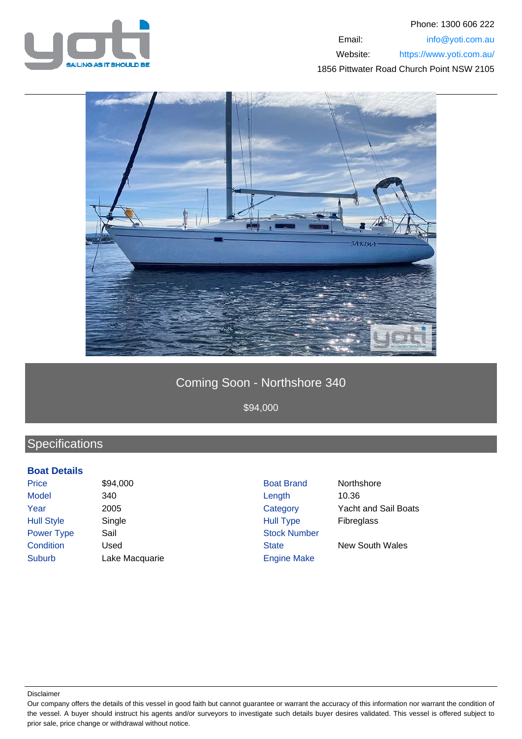



## Coming Soon - Northshore 340

\$94,000

## **Specifications**

## **Boat Details**

Price \$94,000 \$94,000 Boat Brand Northshore Model 340 Length 10.36 Year 2005 Category Yacht and Sail Boats Hull Style Single Single Single Hull Type Fibreglass Power Type Sail Stock Number **Condition** Used Used State New South Wales Suburb Lake Macquarie **Engine Make** 

Disclaimer

Our company offers the details of this vessel in good faith but cannot guarantee or warrant the accuracy of this information nor warrant the condition of the vessel. A buyer should instruct his agents and/or surveyors to investigate such details buyer desires validated. This vessel is offered subject to prior sale, price change or withdrawal without notice.